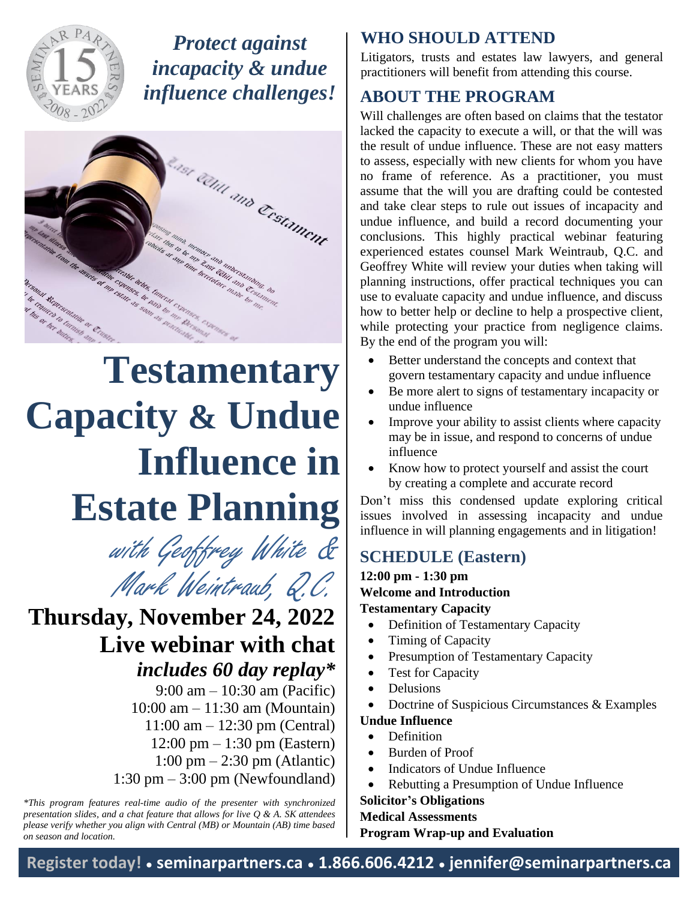

*Protect against incapacity & undue influence challenges!*



# **Testamentary Capacity & Undue Influence in Estate Planning**

Mark Weintraub, Q.C. with Geoffrey White &

## **Thursday, November 24, 2022 Live webinar with chat**

*includes 60 day replay\** 9:00 am – 10:30 am (Pacific) 10:00 am – 11:30 am (Mountain) 11:00 am – 12:30 pm (Central) 12:00 pm – 1:30 pm (Eastern) 1:00 pm – 2:30 pm (Atlantic) 1:30 pm – 3:00 pm (Newfoundland)

*\*This program features real-time audio of the presenter with synchronized presentation slides, and a chat feature that allows for live Q & A. SK attendees please verify whether you align with Central (MB) or Mountain (AB) time based on season and location.*

#### **WHO SHOULD ATTEND**

Litigators, trusts and estates law lawyers, and general practitioners will benefit from attending this course.

#### **ABOUT THE PROGRAM**

Will challenges are often based on claims that the testator lacked the capacity to execute a will, or that the will was the result of undue influence. These are not easy matters to assess, especially with new clients for whom you have no frame of reference. As a practitioner, you must assume that the will you are drafting could be contested and take clear steps to rule out issues of incapacity and undue influence, and build a record documenting your conclusions. This highly practical webinar featuring experienced estates counsel Mark Weintraub, Q.C. and Geoffrey White will review your duties when taking will planning instructions, offer practical techniques you can use to evaluate capacity and undue influence, and discuss how to better help or decline to help a prospective client, while protecting your practice from negligence claims. By the end of the program you will:

- Better understand the concepts and context that govern testamentary capacity and undue influence
- Be more alert to signs of testamentary incapacity or undue influence
- Improve your ability to assist clients where capacity may be in issue, and respond to concerns of undue influence
- Know how to protect yourself and assist the court by creating a complete and accurate record

Don't miss this condensed update exploring critical issues involved in assessing incapacity and undue influence in will planning engagements and in litigation!

### **SCHEDULE (Eastern)**

**12:00 pm - 1:30 pm Welcome and Introduction Testamentary Capacity**

- Definition of Testamentary Capacity
- Timing of Capacity
- Presumption of Testamentary Capacity
- Test for Capacity
- Delusions
- Doctrine of Suspicious Circumstances & Examples

#### **Undue Influence**

- Definition
- Burden of Proof
- Indicators of Undue Influence
- Rebutting a Presumption of Undue Influence

#### **Solicitor's Obligations**

**Medical Assessments**

**Program Wrap-up and Evaluation**